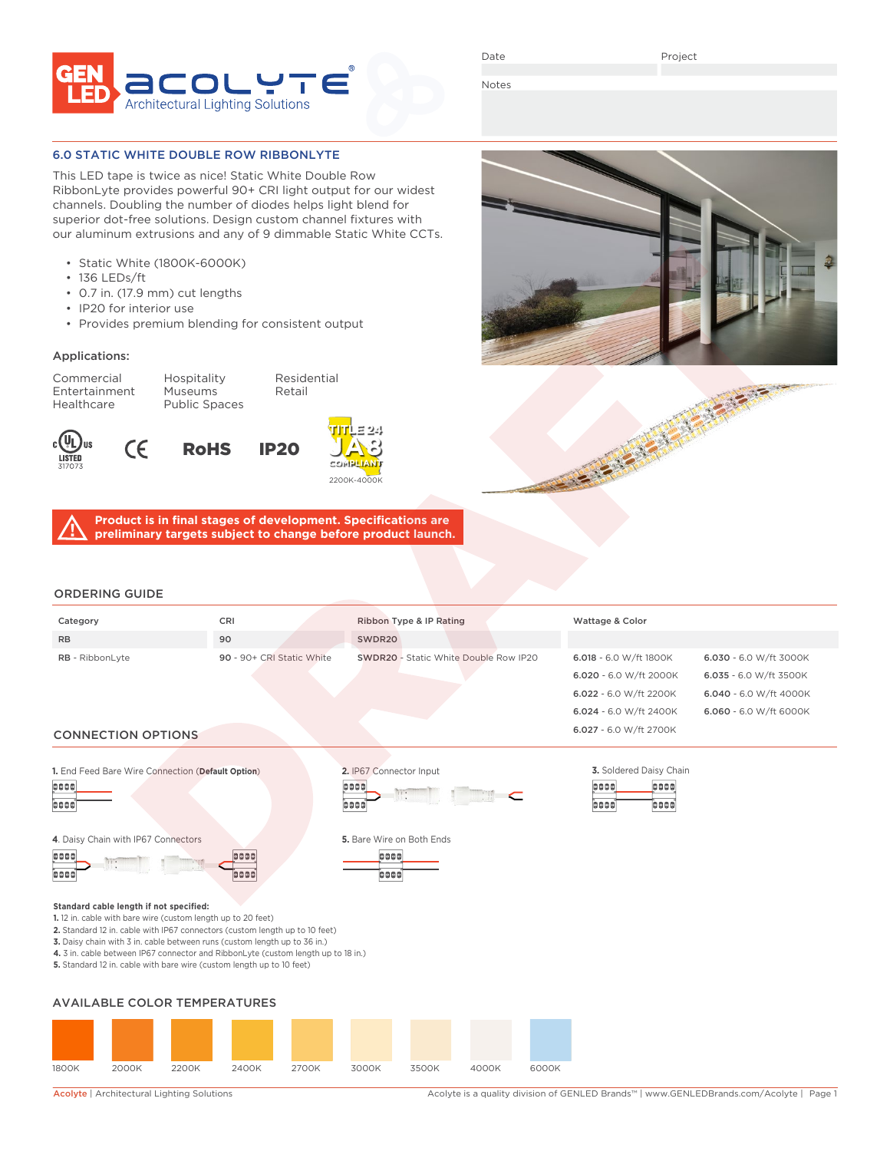

Date

Notes

#### 6.0 STATIC WHITE DOUBLE ROW RIBBONLYTE

This LED tape is twice as nice! Static White Double Row RibbonLyte provides powerful 90+ CRI light output for our widest channels. Doubling the number of diodes helps light blend for superior dot-free solutions. Design custom channel fixtures with our aluminum extrusions and any of 9 dimmable Static White CCTs.

- Static White (1800K-6000K)
- 136 LEDs/ft
- 0.7 in. (17.9 mm) cut lengths
- IP20 for interior use

 $\epsilon$ 

• Provides premium blending for consistent output

### Applications:

Entertainment Healthcare Public Spaces

Commercial Hospitality Residential<br>Entertainment Museums Retail







0000

boot

**Product is in final stages of development. Specifications are preliminary targets subject to change before product launch.**

## ORDERING GUIDE

| Category                  | <b>CRI</b>                | Ribbon Type & IP Rating                      | Wattage & Color          |                        |
|---------------------------|---------------------------|----------------------------------------------|--------------------------|------------------------|
| <b>RB</b>                 | 90                        | SWDR20                                       |                          |                        |
| <b>RB</b> - RibbonLyte    | 90 - 90+ CRI Static White | <b>SWDR20</b> - Static White Double Row IP20 | $6.018 - 6.0$ W/ft 1800K | 6.030 - 6.0 W/ft 3000K |
|                           |                           |                                              | 6.020 - 6.0 W/ft 2000K   | 6.035 - 6.0 W/ft 3500K |
|                           |                           |                                              | 6.022 - 6.0 W/ft 2200K   | 6.040 - 6.0 W/ft 4000K |
|                           |                           |                                              | 6.024 - 6.0 W/ft 2400K   | 6.060 - 6.0 W/ft 6000K |
| <b>CONNECTION OPTIONS</b> |                           |                                              | 6.027 - 6.0 W/ft 2700K   |                        |





| 4. Daisy Chain with IP67 Connectors |      | 5. Bare Wire on Both Ends |
|-------------------------------------|------|---------------------------|
| 0000                                | 0000 | oooo                      |
|                                     |      |                           |

| <b>DOOD</b> |  |  |
|-------------|--|--|
|             |  |  |

**Standard cable length if not specified:**

- **1.** 12 in. cable with bare wire (custom length up to 20 feet)
- **2.** Standard 12 in. cable with IP67 connectors (custom length up to 10 feet)
- **3.** Daisy chain with 3 in. cable between runs (custom length up to 36 in.)
- **4.** 3 in. cable between IP67 connector and RibbonLyte (custom length up to 18 in.)

**5.** Standard 12 in. cable with bare wire (custom length up to 10 feet)

### AVAILABLE COLOR TEMPERATURES



Acolyte | Architectural Lighting Solutions <br>Acolyte is a quality division of GENLED Brands™ | www.GENLEDBrands.com/Acolyte | Page 1

0000

oooo

0000

.<br>coo



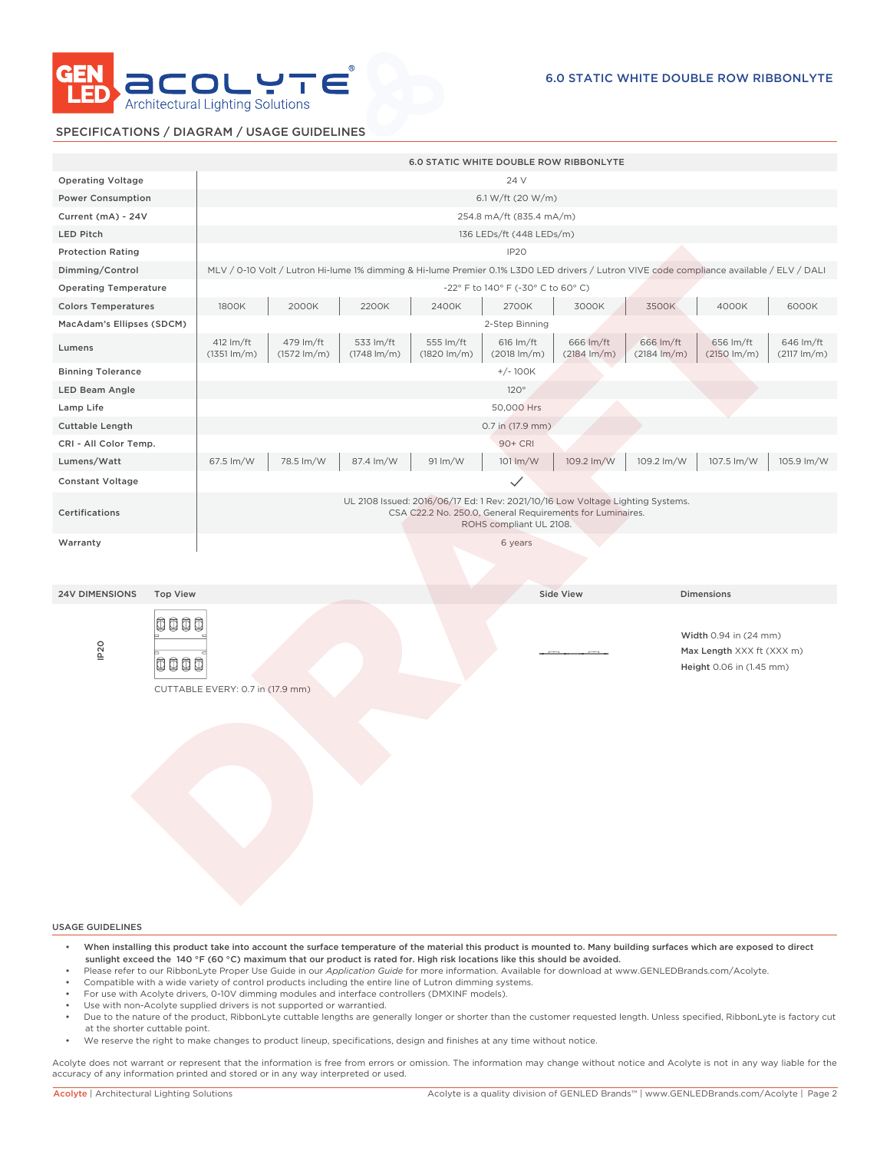

#### SPECIFICATIONS / DIAGRAM / USAGE GUIDELINES

|                              |                 | <b>6.0 STATIC WHITE DOUBLE ROW RIBBONLYTE</b>                                                                                                                          |                                                                      |                                      |                                      |                                                                                                                                          |                                      |                                      |                                                                                |                                      |
|------------------------------|-----------------|------------------------------------------------------------------------------------------------------------------------------------------------------------------------|----------------------------------------------------------------------|--------------------------------------|--------------------------------------|------------------------------------------------------------------------------------------------------------------------------------------|--------------------------------------|--------------------------------------|--------------------------------------------------------------------------------|--------------------------------------|
| <b>Operating Voltage</b>     |                 | 24 V                                                                                                                                                                   |                                                                      |                                      |                                      |                                                                                                                                          |                                      |                                      |                                                                                |                                      |
| <b>Power Consumption</b>     |                 | 6.1 W/ft (20 W/m)                                                                                                                                                      |                                                                      |                                      |                                      |                                                                                                                                          |                                      |                                      |                                                                                |                                      |
| Current (mA) - 24V           |                 | 254.8 mA/ft (835.4 mA/m)                                                                                                                                               |                                                                      |                                      |                                      |                                                                                                                                          |                                      |                                      |                                                                                |                                      |
| LED Pitch                    |                 |                                                                                                                                                                        |                                                                      |                                      |                                      | 136 LEDs/ft (448 LEDs/m)                                                                                                                 |                                      |                                      |                                                                                |                                      |
| <b>Protection Rating</b>     |                 |                                                                                                                                                                        |                                                                      |                                      |                                      | IP <sub>20</sub>                                                                                                                         |                                      |                                      |                                                                                |                                      |
| Dimming/Control              |                 |                                                                                                                                                                        |                                                                      |                                      |                                      | MLV / 0-10 Volt / Lutron Hi-lume 1% dimming & Hi-lume Premier 0.1% L3D0 LED drivers / Lutron VIVE code compliance available / ELV / DALI |                                      |                                      |                                                                                |                                      |
| <b>Operating Temperature</b> |                 |                                                                                                                                                                        |                                                                      |                                      |                                      | -22° F to 140° F (-30° C to 60° C)                                                                                                       |                                      |                                      |                                                                                |                                      |
| <b>Colors Temperatures</b>   |                 | 1800K                                                                                                                                                                  | 2000K<br>2200K<br>2400K<br>3500K<br>4000K<br>6000K<br>2700K<br>3000K |                                      |                                      |                                                                                                                                          |                                      |                                      |                                                                                |                                      |
| MacAdam's Ellipses (SDCM)    |                 |                                                                                                                                                                        |                                                                      |                                      |                                      | 2-Step Binning                                                                                                                           |                                      |                                      |                                                                                |                                      |
| Lumens                       |                 | 412 lm/ft<br>$(1351 \, \text{Im/m})$                                                                                                                                   | 479 lm/ft<br>$(1572 \, \text{Im/m})$                                 | 533 lm/ft<br>$(1748 \, \text{Im/m})$ | 555 lm/ft<br>$(1820 \, \text{Im/m})$ | 616 lm/ft<br>$(2018 \, \text{Im/m})$                                                                                                     | 666 lm/ft<br>$(2184 \, \text{Im/m})$ | 666 lm/ft<br>$(2184 \, \text{Im/m})$ | 656 lm/ft<br>$(2150 \, \text{Im/m})$                                           | 646 lm/ft<br>$(2117 \, \text{Im/m})$ |
| <b>Binning Tolerance</b>     |                 |                                                                                                                                                                        |                                                                      |                                      |                                      | $+/-100K$                                                                                                                                |                                      |                                      |                                                                                |                                      |
| <b>LED Beam Angle</b>        |                 |                                                                                                                                                                        |                                                                      |                                      |                                      | 120°                                                                                                                                     |                                      |                                      |                                                                                |                                      |
| Lamp Life                    |                 |                                                                                                                                                                        |                                                                      |                                      |                                      | 50,000 Hrs                                                                                                                               |                                      |                                      |                                                                                |                                      |
| Cuttable Length              |                 |                                                                                                                                                                        |                                                                      |                                      |                                      | 0.7 in (17.9 mm)                                                                                                                         |                                      |                                      |                                                                                |                                      |
| CRI - All Color Temp.        |                 |                                                                                                                                                                        |                                                                      |                                      |                                      | 90+ CRI                                                                                                                                  |                                      |                                      |                                                                                |                                      |
| Lumens/Watt                  |                 | 67.5 lm/W                                                                                                                                                              | 78.5 lm/W                                                            | 87.4 lm/W                            | 91 lm/W                              | 101 lm/W                                                                                                                                 | 109.2 lm/W                           | 109.2 lm/W                           | 107.5 lm/W                                                                     | 105.9 lm/W                           |
| <b>Constant Voltage</b>      |                 |                                                                                                                                                                        |                                                                      |                                      |                                      | $\checkmark$                                                                                                                             |                                      |                                      |                                                                                |                                      |
| Certifications               |                 | UL 2108 Issued: 2016/06/17 Ed: 1 Rev: 2021/10/16 Low Voltage Lighting Systems.<br>CSA C22.2 No. 250.0, General Requirements for Luminaires.<br>ROHS compliant UL 2108. |                                                                      |                                      |                                      |                                                                                                                                          |                                      |                                      |                                                                                |                                      |
| Warranty                     |                 |                                                                                                                                                                        |                                                                      |                                      |                                      | 6 years                                                                                                                                  |                                      |                                      |                                                                                |                                      |
| <b>24V DIMENSIONS</b>        | <b>Top View</b> |                                                                                                                                                                        |                                                                      |                                      |                                      |                                                                                                                                          | <b>Side View</b>                     |                                      | <b>Dimensions</b>                                                              |                                      |
| IP <sub>20</sub>             | 0000<br>0000    | CUTTABLE EVERY: 0.7 in (17.9 mm)                                                                                                                                       |                                                                      |                                      |                                      |                                                                                                                                          |                                      |                                      | Width 0.94 in (24 mm)<br>Max Length XXX ft (XXX m)<br>Height 0.06 in (1.45 mm) |                                      |
|                              |                 |                                                                                                                                                                        |                                                                      |                                      |                                      |                                                                                                                                          |                                      |                                      |                                                                                |                                      |

USAGE GUIDELINES

- When installing this product take into account the surface temperature of the material this product is mounted to. Many building surfaces which are exposed to direct sunlight exceed the 140 °F (60 °C) maximum that our product is rated for. High risk locations like this should be avoided.
- Please refer to our RibbonLyte Proper Use Guide in our *Application Guide* for more information. Available for download at www.GENLEDBrands.com/Acolyte.
- Compatible with a wide variety of control products including the entire line of Lutron dimming systems.
- For use with Acolyte drivers, 0-10V dimming modules and interface controllers (DMXINF models).
- Use with non-Acolyte supplied drivers is not supported or warrantied.
- Due to the nature of the product, RibbonLyte cuttable lengths are generally longer or shorter than the customer requested length. Unless specified, RibbonLyte is factory cut at the shorter cuttable point.
- We reserve the right to make changes to product lineup, specifications, design and finishes at any time without notice.

Acolyte does not warrant or represent that the information is free from errors or omission. The information may change without notice and Acolyte is not in any way liable for the accuracy of any information printed and stored or in any way interpreted or used.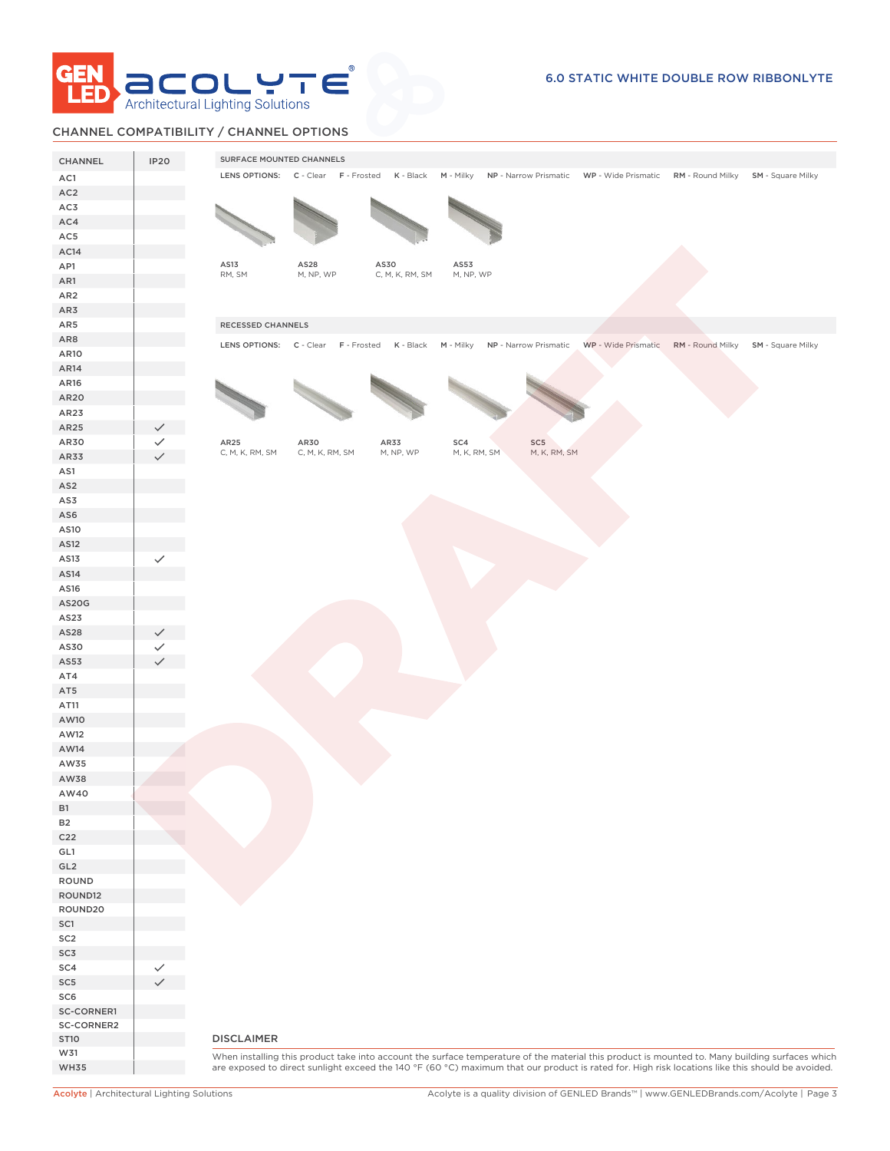

# CHANNEL COMPATIBILITY / CHANNEL OPTIONS

| CHANNEL          | IP <sub>20</sub> | SURFACE MOUNTED CHANNELS                                                                                                                         |
|------------------|------------------|--------------------------------------------------------------------------------------------------------------------------------------------------|
| AC1              |                  | LENS OPTIONS: C - Clear F - Frosted K - Black<br>M - Milky NP - Narrow Prismatic WP - Wide Prismatic RM - Round Milky SM - Square Milky          |
| AC <sub>2</sub>  |                  |                                                                                                                                                  |
| AC3              |                  |                                                                                                                                                  |
| AC4              |                  |                                                                                                                                                  |
| AC5              |                  |                                                                                                                                                  |
| AC <sub>14</sub> |                  |                                                                                                                                                  |
| AP1              |                  | AS13<br>AS28<br>AS30<br>AS53                                                                                                                     |
| AR1              |                  | RM, SM<br>M, NP, WP<br>M, NP, WP<br>C, M, K, RM, SM                                                                                              |
| AR <sub>2</sub>  |                  |                                                                                                                                                  |
| AR3              |                  |                                                                                                                                                  |
| AR5              |                  | RECESSED CHANNELS                                                                                                                                |
| AR8              |                  |                                                                                                                                                  |
| AR10             |                  | LENS OPTIONS: C - Clear F - Frosted<br>K - Black M - Milky<br>NP - Narrow Prismatic<br>WP - Wide Prismatic RM - Round Milky SM - Square Milky    |
| AR14             |                  |                                                                                                                                                  |
| AR16             |                  |                                                                                                                                                  |
|                  |                  |                                                                                                                                                  |
| AR20             |                  |                                                                                                                                                  |
| AR23             |                  |                                                                                                                                                  |
| AR25             |                  |                                                                                                                                                  |
| AR30             |                  | SC <sub>5</sub><br>AR25<br>AR30<br>AR33<br>SC4<br>C, M, K, RM, SM<br>C, M, K, RM, SM<br>M, NP, WP<br>M, K, RM, SM<br>M, K, RM, SM                |
| AR33             |                  |                                                                                                                                                  |
| AS1              |                  |                                                                                                                                                  |
| AS <sub>2</sub>  |                  |                                                                                                                                                  |
| AS3              |                  |                                                                                                                                                  |
| AS6              |                  |                                                                                                                                                  |
| AS10             |                  |                                                                                                                                                  |
| AS12             |                  |                                                                                                                                                  |
| AS13             |                  |                                                                                                                                                  |
| AS14             |                  |                                                                                                                                                  |
| AS16             |                  |                                                                                                                                                  |
| <b>AS20G</b>     |                  |                                                                                                                                                  |
| AS23             |                  |                                                                                                                                                  |
| AS28             |                  |                                                                                                                                                  |
| AS30             |                  |                                                                                                                                                  |
| AS53             |                  |                                                                                                                                                  |
| AT4              |                  |                                                                                                                                                  |
| AT5              |                  |                                                                                                                                                  |
| AT11             |                  |                                                                                                                                                  |
| AW10             |                  |                                                                                                                                                  |
|                  |                  |                                                                                                                                                  |
| AW12             |                  |                                                                                                                                                  |
| AW14             |                  |                                                                                                                                                  |
| AW35             |                  |                                                                                                                                                  |
| AW38             |                  |                                                                                                                                                  |
| AW40             |                  |                                                                                                                                                  |
| <b>B1</b>        |                  |                                                                                                                                                  |
| <b>B2</b>        |                  |                                                                                                                                                  |
| C <sub>22</sub>  |                  |                                                                                                                                                  |
| GL1              |                  |                                                                                                                                                  |
| GL <sub>2</sub>  |                  |                                                                                                                                                  |
| ROUND            |                  |                                                                                                                                                  |
| ROUND12          |                  |                                                                                                                                                  |
| ROUND20          |                  |                                                                                                                                                  |
| SC <sub>1</sub>  |                  |                                                                                                                                                  |
| SC <sub>2</sub>  |                  |                                                                                                                                                  |
| SC3              |                  |                                                                                                                                                  |
| SC4              |                  |                                                                                                                                                  |
| SC <sub>5</sub>  |                  |                                                                                                                                                  |
| SC <sub>6</sub>  |                  |                                                                                                                                                  |
| SC-CORNER1       |                  |                                                                                                                                                  |
| SC-CORNER2       |                  |                                                                                                                                                  |
| <b>ST10</b>      |                  | <b>DISCLAIMER</b>                                                                                                                                |
| W31              |                  | When installing this product take into account the surface temperature of the material this product is mounted to. Many building surfaces which  |
| <b>WH35</b>      |                  | are exposed to direct sunlight exceed the 140 °F (60 °C) maximum that our product is rated for. High risk locations like this should be avoided. |
|                  |                  |                                                                                                                                                  |